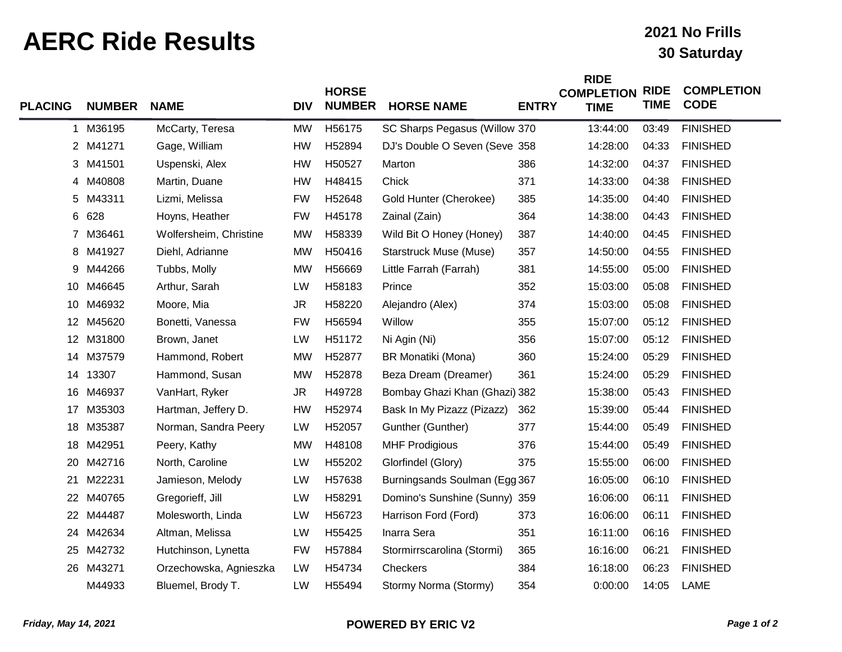## **AERC Ride Results 30 Saturday**

## **2021 No Frills**

**RIGHT** 

| <b>PLACING</b> | <b>NUMBER</b> | <b>NAME</b>            | <b>DIV</b> | <b>HORSE</b><br><b>NUMBER</b> | <b>HORSE NAME</b>             | <b>ENTRY</b> | <b>KIDE</b><br><b>COMPLETION</b><br><b>TIME</b> | <b>RIDE</b><br><b>TIME</b> | <b>COMPLETION</b><br><b>CODE</b> |
|----------------|---------------|------------------------|------------|-------------------------------|-------------------------------|--------------|-------------------------------------------------|----------------------------|----------------------------------|
|                | 1 M36195      | McCarty, Teresa        | <b>MW</b>  | H56175                        | SC Sharps Pegasus (Willow 370 |              | 13:44:00                                        | 03:49                      | <b>FINISHED</b>                  |
|                | 2 M41271      | Gage, William          | <b>HW</b>  | H52894                        | DJ's Double O Seven (Seve 358 |              | 14:28:00                                        | 04:33                      | <b>FINISHED</b>                  |
|                | 3 M41501      | Uspenski, Alex         | <b>HW</b>  | H50527                        | Marton                        | 386          | 14:32:00                                        | 04:37                      | <b>FINISHED</b>                  |
|                | 4 M40808      | Martin, Duane          | <b>HW</b>  | H48415                        | Chick                         | 371          | 14:33:00                                        | 04:38                      | <b>FINISHED</b>                  |
| 5              | M43311        | Lizmi, Melissa         | <b>FW</b>  | H52648                        | Gold Hunter (Cherokee)        | 385          | 14:35:00                                        | 04:40                      | <b>FINISHED</b>                  |
|                | 6 628         | Hoyns, Heather         | <b>FW</b>  | H45178                        | Zainal (Zain)                 | 364          | 14:38:00                                        | 04:43                      | <b>FINISHED</b>                  |
|                | 7 M36461      | Wolfersheim, Christine | <b>MW</b>  | H58339                        | Wild Bit O Honey (Honey)      | 387          | 14:40:00                                        | 04:45                      | <b>FINISHED</b>                  |
|                | 8 M41927      | Diehl, Adrianne        | <b>MW</b>  | H50416                        | <b>Starstruck Muse (Muse)</b> | 357          | 14:50:00                                        | 04:55                      | <b>FINISHED</b>                  |
| 9              | M44266        | Tubbs, Molly           | <b>MW</b>  | H56669                        | Little Farrah (Farrah)        | 381          | 14:55:00                                        | 05:00                      | <b>FINISHED</b>                  |
|                | 10 M46645     | Arthur, Sarah          | LW         | H58183                        | Prince                        | 352          | 15:03:00                                        | 05:08                      | <b>FINISHED</b>                  |
| 10             | M46932        | Moore, Mia             | <b>JR</b>  | H58220                        | Alejandro (Alex)              | 374          | 15:03:00                                        | 05:08                      | <b>FINISHED</b>                  |
|                | 12 M45620     | Bonetti, Vanessa       | <b>FW</b>  | H56594                        | Willow                        | 355          | 15:07:00                                        | 05:12                      | <b>FINISHED</b>                  |
| 12             | M31800        | Brown, Janet           | LW         | H51172                        | Ni Agin (Ni)                  | 356          | 15:07:00                                        | 05:12                      | <b>FINISHED</b>                  |
| 14             | M37579        | Hammond, Robert        | <b>MW</b>  | H52877                        | BR Monatiki (Mona)            | 360          | 15:24:00                                        | 05:29                      | <b>FINISHED</b>                  |
| 14             | 13307         | Hammond, Susan         | <b>MW</b>  | H52878                        | Beza Dream (Dreamer)          | 361          | 15:24:00                                        | 05:29                      | <b>FINISHED</b>                  |
| 16             | M46937        | VanHart, Ryker         | <b>JR</b>  | H49728                        | Bombay Ghazi Khan (Ghazi) 382 |              | 15:38:00                                        | 05:43                      | <b>FINISHED</b>                  |
| 17             | M35303        | Hartman, Jeffery D.    | <b>HW</b>  | H52974                        | Bask In My Pizazz (Pizazz)    | 362          | 15:39:00                                        | 05:44                      | <b>FINISHED</b>                  |
| 18             | M35387        | Norman, Sandra Peery   | LW         | H52057                        | Gunther (Gunther)             | 377          | 15:44:00                                        | 05:49                      | <b>FINISHED</b>                  |
| 18             | M42951        | Peery, Kathy           | <b>MW</b>  | H48108                        | <b>MHF Prodigious</b>         | 376          | 15:44:00                                        | 05:49                      | <b>FINISHED</b>                  |
| 20             | M42716        | North, Caroline        | LW         | H55202                        | Glorfindel (Glory)            | 375          | 15:55:00                                        | 06:00                      | <b>FINISHED</b>                  |
| 21             | M22231        | Jamieson, Melody       | LW         | H57638                        | Burningsands Soulman (Egg 367 |              | 16:05:00                                        | 06:10                      | <b>FINISHED</b>                  |
| 22             | M40765        | Gregorieff, Jill       | LW         | H58291                        | Domino's Sunshine (Sunny) 359 |              | 16:06:00                                        | 06:11                      | <b>FINISHED</b>                  |
| 22             | M44487        | Molesworth, Linda      | LW         | H56723                        | Harrison Ford (Ford)          | 373          | 16:06:00                                        | 06:11                      | <b>FINISHED</b>                  |
|                | 24 M42634     | Altman, Melissa        | LW         | H55425                        | Inarra Sera                   | 351          | 16:11:00                                        | 06:16                      | <b>FINISHED</b>                  |
| 25             | M42732        | Hutchinson, Lynetta    | <b>FW</b>  | H57884                        | Stormirrscarolina (Stormi)    | 365          | 16:16:00                                        | 06:21                      | <b>FINISHED</b>                  |
|                | 26 M43271     | Orzechowska, Agnieszka | LW         | H54734                        | Checkers                      | 384          | 16:18:00                                        | 06:23                      | <b>FINISHED</b>                  |
|                | M44933        | Bluemel, Brody T.      | LW         | H55494                        | Stormy Norma (Stormy)         | 354          | 0:00:00                                         | 14:05                      | LAME                             |